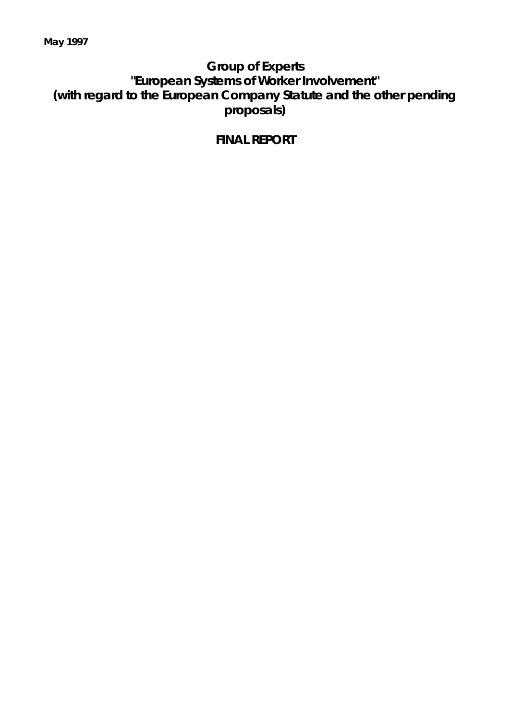# **Group of Experts "European Systems of Worker Involvement" (with regard to the European Company Statute and the other pending proposals)**

# **FINAL REPORT**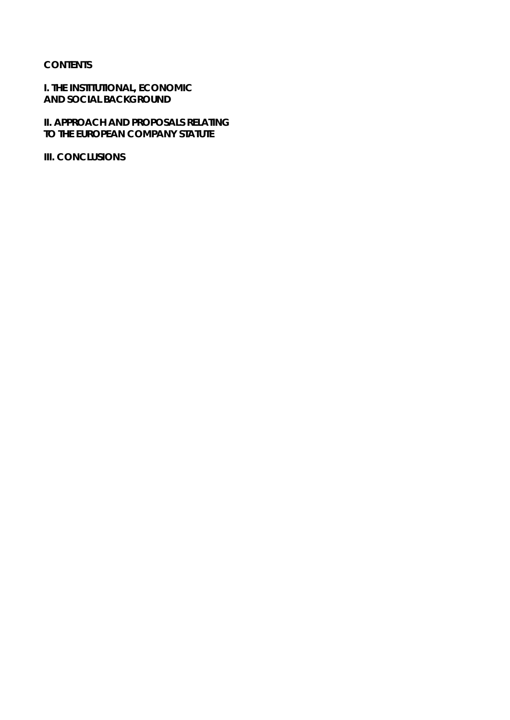## **CONTENTS**

**I. THE INSTITUTIONAL, ECONOMIC AND SOCIAL BACKGROUND**

**II. APPROACH AND PROPOSALS RELATING TO THE EUROPEAN COMPANY STATUTE**

**III. CONCLUSIONS**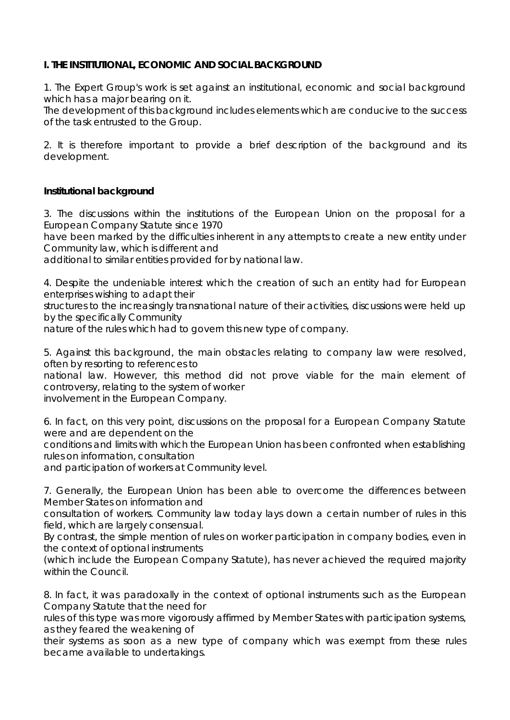# **I. THE INSTITUTIONAL, ECONOMIC AND SOCIAL BACKGROUND**

1. The Expert Group's work is set against an institutional, economic and social background which has a major bearing on it.

The development of this background includes elements which are conducive to the success of the task entrusted to the Group.

2. It is therefore important to provide a brief description of the background and its development.

# *Institutional background*

3. The discussions within the institutions of the European Union on the proposal for a European Company Statute since 1970

have been marked by the difficulties inherent in any attempts to create a new entity under Community law, which is different and

additional to similar entities provided for by national law.

4. Despite the undeniable interest which the creation of such an entity had for European enterprises wishing to adapt their

structures to the increasingly transnational nature of their activities, discussions were held up by the specifically Community

nature of the rules which had to govern this new type of company.

5. Against this background, the main obstacles relating to company law were resolved, often by resorting to references to

national law. However, this method did not prove viable for the main element of controversy, relating to the system of worker

involvement in the European Company.

6. In fact, on this very point, discussions on the proposal for a European Company Statute were and are dependent on the

conditions and limits with which the European Union has been confronted when establishing rules on information, consultation

and participation of workers at Community level.

7. Generally, the European Union has been able to overcome the differences between Member States on information and

consultation of workers. Community law today lays down a certain number of rules in this field, which are largely consensual.

By contrast, the simple mention of rules on worker participation in company bodies, even in the context of optional instruments

(which include the European Company Statute), has never achieved the required majority within the Council.

8. In fact, it was paradoxally in the context of optional instruments such as the European Company Statute that the need for

rules of this type was more vigorously affirmed by Member States with participation systems, as they feared the weakening of

their systems as soon as a new type of company which was exempt from these rules became available to undertakings.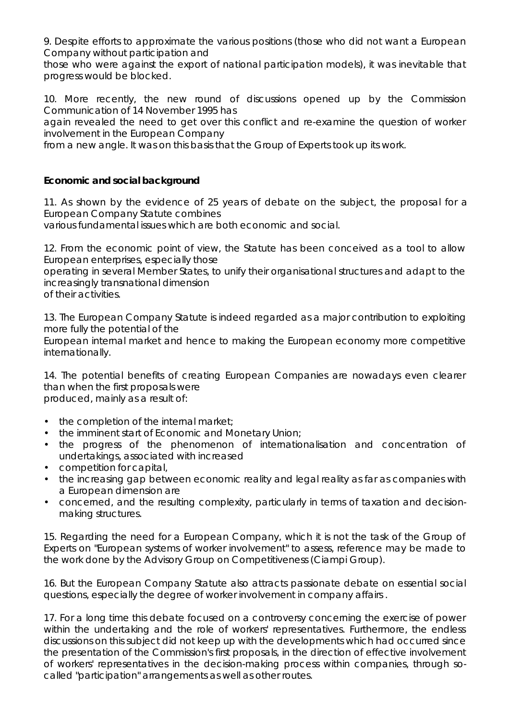9. Despite efforts to approximate the various positions (those who did not want a European Company without participation and

those who were against the export of national participation models), it was inevitable that progress would be blocked.

10. More recently, the new round of discussions opened up by the Commission Communication of 14 November 1995 has

again revealed the need to get over this conflict and re-examine the question of worker involvement in the European Company

from a new angle. It was on this basis that the Group of Experts took up its work.

# *Economic and social background*

11. As shown by the evidence of 25 years of debate on the subject, the proposal for a European Company Statute combines

various fundamental issues which are both economic and social.

12. From the economic point of view, the Statute has been conceived as a tool to allow European enterprises, especially those

operating in several Member States, to unify their organisational structures and adapt to the increasingly transnational dimension

of their activities.

13. The European Company Statute is indeed regarded as a major contribution to exploiting more fully the potential of the

European internal market and hence to making the European economy more competitive internationally.

14. The potential benefits of creating European Companies are nowadays even clearer than when the first proposals were produced, mainly as a result of:

- the completion of the internal market;
- the imminent start of Economic and Monetary Union;
- the progress of the phenomenon of internationalisation and concentration of undertakings, associated with increased
- competition for capital,
- the increasing gap between economic reality and legal reality as far as companies with a European dimension are
- concerned, and the resulting complexity, particularly in terms of taxation and decisionmaking structures.

15. Regarding the need for a European Company, which it is not the task of the Group of Experts on "European systems of worker involvement" to assess, reference may be made to the work done by the Advisory Group on Competitiveness (Ciampi Group).

16. But the European Company Statute also attracts passionate debate on essential social questions, especially the degree of worker involvement in company affairs .

17. For a long time this debate focused on a controversy concerning the exercise of power within the undertaking and the role of workers' representatives. Furthermore, the endless discussions on this subject did not keep up with the developments which had occurred since the presentation of the Commission's first proposals, in the direction of effective involvement of workers' representatives in the decision-making process within companies, through socalled "participation" arrangements as well as other routes.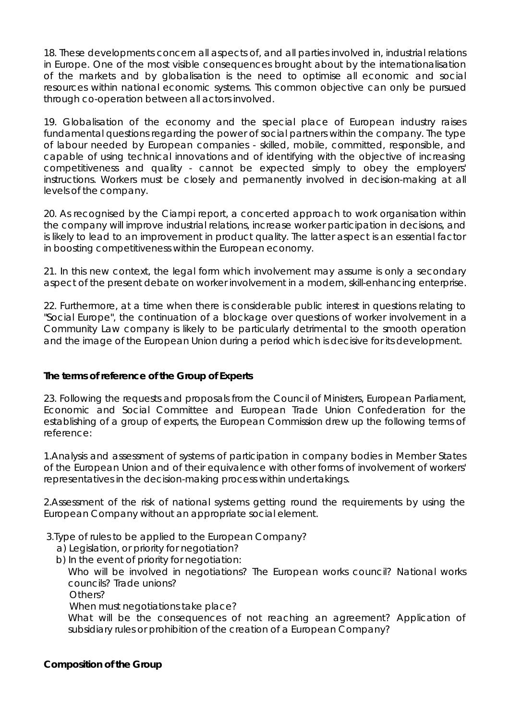18. These developments concern all aspects of, and all parties involved in, industrial relations in Europe. One of the most visible consequences brought about by the internationalisation of the markets and by globalisation is the need to optimise all economic and social resources within national economic systems. This common objective can only be pursued through co-operation between all actors involved.

19. Globalisation of the economy and the special place of European industry raises fundamental questions regarding the power of social partners within the company. The type of labour needed by European companies - skilled, mobile, committed, responsible, and capable of using technical innovations and of identifying with the objective of increasing competitiveness and quality - cannot be expected simply to obey the employers' instructions. Workers must be closely and permanently involved in decision-making at all levels of the company.

20. As recognised by the Ciampi report, a concerted approach to work organisation within the company will improve industrial relations, increase worker participation in decisions, and is likely to lead to an improvement in product quality. The latter aspect is an essential factor in boosting competitiveness within the European economy.

21. In this new context, the legal form which involvement may assume is only a secondary aspect of the present debate on worker involvement in a modern, skill-enhancing enterprise.

22. Furthermore, at a time when there is considerable public interest in questions relating to "Social Europe", the continuation of a blockage over questions of worker involvement in a Community Law company is likely to be particularly detrimental to the smooth operation and the image of the European Union during a period which is decisive for its development.

# *The terms of reference of the Group of Experts*

23. Following the requests and proposals from the Council of Ministers, European Parliament, Economic and Social Committee and European Trade Union Confederation for the establishing of a group of experts, the European Commission drew up the following terms of reference:

1.Analysis and assessment of systems of participation in company bodies in Member States of the European Union and of their equivalence with other forms of involvement of workers' representatives in the decision-making process within undertakings.

2.Assessment of the risk of national systems getting round the requirements by using the European Company without an appropriate social element.

3.Type of rules to be applied to the European Company?

- a) Legislation, or priority for negotiation?
- b) In the event of priority for negotiation:

Who will be involved in negotiations? The European works council? National works councils? Trade unions?

Others?

When must negotiations take place?

What will be the consequences of not reaching an agreement? Application of subsidiary rules or prohibition of the creation of a European Company?

*Composition of the Group*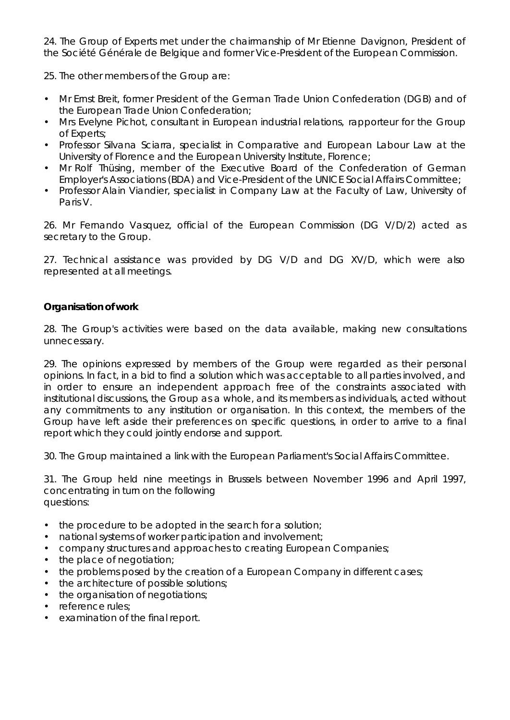24. The Group of Experts met under the chairmanship of Mr Etienne Davignon, President of the Société Générale de Belgique and former Vice-President of the European Commission.

25. The other members of the Group are:

- Mr Ernst Breit, former President of the German Trade Union Confederation (DGB) and of the European Trade Union Confederation;
- Mrs Evelyne Pichot, consultant in European industrial relations, rapporteur for the Group of Experts;
- Professor Silvana Sciarra, specialist in Comparative and European Labour Law at the University of Florence and the European University Institute, Florence;
- Mr Rolf Thüsing, member of the Executive Board of the Confederation of German Employer's Associations (BDA) and Vice-President of the UNICE Social Affairs Committee;
- Professor Alain Viandier, specialist in Company Law at the Faculty of Law, University of Paris V.

26. Mr Fernando Vasquez, official of the European Commission (DG V/D/2) acted as secretary to the Group.

27. Technical assistance was provided by DG V/D and DG XV/D, which were also represented at all meetings.

#### *Organisation of work*

28. The Group's activities were based on the data available, making new consultations unnecessary.

29. The opinions expressed by members of the Group were regarded as their personal opinions. In fact, in a bid to find a solution which was acceptable to all parties involved, and in order to ensure an independent approach free of the constraints associated with institutional discussions, the Group as a whole, and its members as individuals, acted without any commitments to any institution or organisation. In this context, the members of the Group have left aside their preferences on specific questions, in order to arrive to a final report which they could jointly endorse and support.

30. The Group maintained a link with the European Parliament's Social Affairs Committee.

31. The Group held nine meetings in Brussels between November 1996 and April 1997, concentrating in turn on the following questions:

- the procedure to be adopted in the search for a solution;
- national systems of worker participation and involvement;
- company structures and approaches to creating European Companies;
- the place of negotiation;
- the problems posed by the creation of a European Company in different cases;
- the architecture of possible solutions;
- the organisation of negotiations;
- reference rules;
- examination of the final report.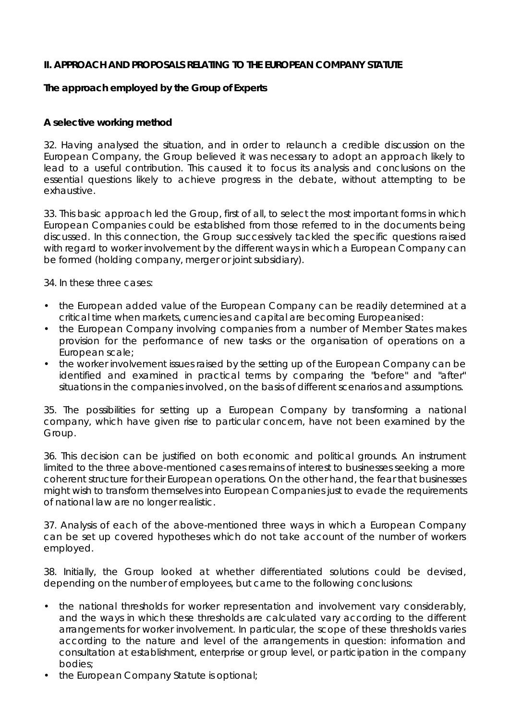## **II. APPROACH AND PROPOSALS RELATING TO THE EUROPEAN COMPANY STATUTE**

# **The approach employed by the Group of Experts**

#### *A selective working method*

32. Having analysed the situation, and in order to relaunch a credible discussion on the European Company, the Group believed it was necessary to adopt an approach likely to lead to a useful contribution. This caused it to focus its analysis and conclusions on the essential questions likely to achieve progress in the debate, without attempting to be exhaustive.

33. This basic approach led the Group, first of all, to select the most important forms in which European Companies could be established from those referred to in the documents being discussed. In this connection, the Group successively tackled the specific questions raised with regard to worker involvement by the different ways in which a European Company can be formed (holding company, merger or joint subsidiary).

34. In these three cases:

- the European added value of the European Company can be readily determined at a critical time when markets, currencies and capital are becoming Europeanised:
- the European Company involving companies from a number of Member States makes provision for the performance of new tasks or the organisation of operations on a European scale;
- the worker involvement issues raised by the setting up of the European Company can be identified and examined in practical terms by comparing the "before" and "after" situations in the companies involved, on the basis of different scenarios and assumptions.

35. The possibilities for setting up a European Company by transforming a national company, which have given rise to particular concern, have not been examined by the Group.

36. This decision can be justified on both economic and political grounds. An instrument limited to the three above-mentioned cases remains of interest to businesses seeking a more coherent structure for their European operations. On the other hand, the fear that businesses might wish to transform themselves into European Companies just to evade the requirements of national law are no longer realistic.

37. Analysis of each of the above-mentioned three ways in which a European Company can be set up covered hypotheses which do not take account of the number of workers employed.

38. Initially, the Group looked at whether differentiated solutions could be devised, depending on the number of employees, but came to the following conclusions:

- the national thresholds for worker representation and involvement vary considerably, and the ways in which these thresholds are calculated vary according to the different arrangements for worker involvement. In particular, the scope of these thresholds varies according to the nature and level of the arrangements in question: information and consultation at establishment, enterprise or group level, or participation in the company bodies;
- the European Company Statute is optional;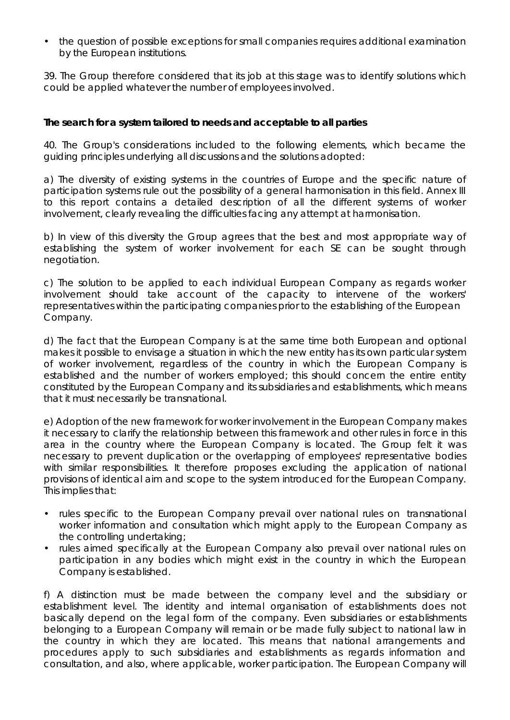• the question of possible exceptions for small companies requires additional examination by the European institutions.

39. The Group therefore considered that its job at this stage was to identify solutions which could be applied whatever the number of employees involved.

# *The search for a system tailored to needs and acceptable to all parties*

40. The Group's considerations included to the following elements, which became the guiding principles underlying all discussions and the solutions adopted:

a) The diversity of existing systems in the countries of Europe and the specific nature of participation systems rule out the possibility of a general harmonisation in this field. Annex III to this report contains a detailed description of all the different systems of worker involvement, clearly revealing the difficulties facing any attempt at harmonisation.

b) In view of this diversity the Group agrees that the best and most appropriate way of establishing the system of worker involvement for each SE can be sought through negotiation.

c) The solution to be applied to each individual European Company as regards worker involvement should take account of the capacity to intervene of the workers' representatives within the participating companies prior to the establishing of the European Company.

d) The fact that the European Company is at the same time both European and optional makes it possible to envisage a situation in which the new entity has its own particular system of worker involvement, regardless of the country in which the European Company is established and the number of workers employed; this should concern the entire entity constituted by the European Company and its subsidiaries and establishments, which means that it must necessarily be transnational.

e) Adoption of the new framework for worker involvement in the European Company makes it necessary to clarify the relationship between this framework and other rules in force in this area in the country where the European Company is located. The Group felt it was necessary to prevent duplication or the overlapping of employees' representative bodies with similar responsibilities. It therefore proposes excluding the application of national provisions of identical aim and scope to the system introduced for the European Company. This implies that:

- rules specific to the European Company prevail over national rules on transnational worker information and consultation which might apply to the European Company as the controlling undertaking;
- rules aimed specifically at the European Company also prevail over national rules on participation in any bodies which might exist in the country in which the European Company is established.

f) A distinction must be made between the company level and the subsidiary or establishment level. The identity and internal organisation of establishments does not basically depend on the legal form of the company. Even subsidiaries or establishments belonging to a European Company will remain or be made fully subject to national law in the country in which they are located. This means that national arrangements and procedures apply to such subsidiaries and establishments as regards information and consultation, and also, where applicable, worker participation. The European Company will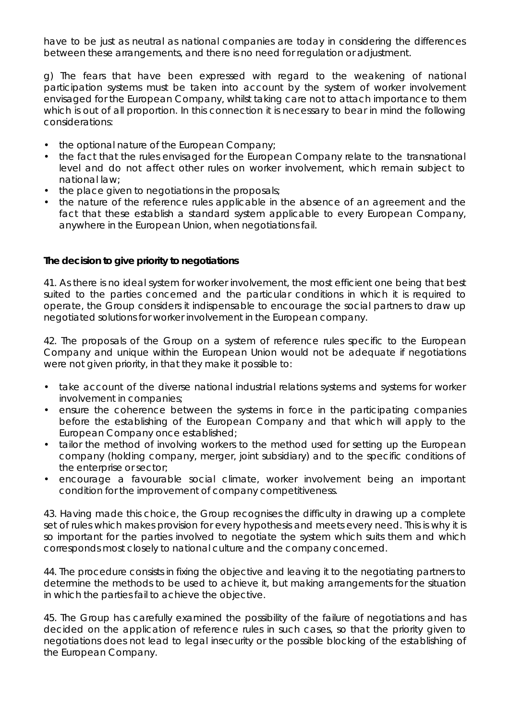have to be just as neutral as national companies are today in considering the differences between these arrangements, and there is no need for regulation or adjustment.

g) The fears that have been expressed with regard to the weakening of national participation systems must be taken into account by the system of worker involvement envisaged for the European Company, whilst taking care not to attach importance to them which is out of all proportion. In this connection it is necessary to bear in mind the following considerations:

- the optional nature of the European Company;
- the fact that the rules envisaged for the European Company relate to the transnational level and do not affect other rules on worker involvement, which remain subject to national law;
- the place given to negotiations in the proposals;
- the nature of the reference rules applicable in the absence of an agreement and the fact that these establish a standard system applicable to every European Company, anywhere in the European Union, when negotiations fail.

#### *The decision to give priority to negotiations*

41. As there is no ideal system for worker involvement, the most efficient one being that best suited to the parties concerned and the particular conditions in which it is required to operate, the Group considers it indispensable to encourage the social partners to draw up negotiated solutions for worker involvement in the European company.

42. The proposals of the Group on a system of reference rules specific to the European Company and unique within the European Union would not be adequate if negotiations were not given priority, in that they make it possible to:

- take account of the diverse national industrial relations systems and systems for worker involvement in companies;
- ensure the coherence between the systems in force in the participating companies before the establishing of the European Company and that which will apply to the European Company once established;
- tailor the method of involving workers to the method used for setting up the European company (holding company, merger, joint subsidiary) and to the specific conditions of the enterprise or sector;
- encourage a favourable social climate, worker involvement being an important condition for the improvement of company competitiveness.

43. Having made this choice, the Group recognises the difficulty in drawing up a complete set of rules which makes provision for every hypothesis and meets every need. This is why it is so important for the parties involved to negotiate the system which suits them and which corresponds most closely to national culture and the company concerned.

44. The procedure consists in fixing the objective and leaving it to the negotiating partners to determine the methods to be used to achieve it, but making arrangements for the situation in which the parties fail to achieve the objective.

45. The Group has carefully examined the possibility of the failure of negotiations and has decided on the application of reference rules in such cases, so that the priority given to negotiations does not lead to legal insecurity or the possible blocking of the establishing of the European Company.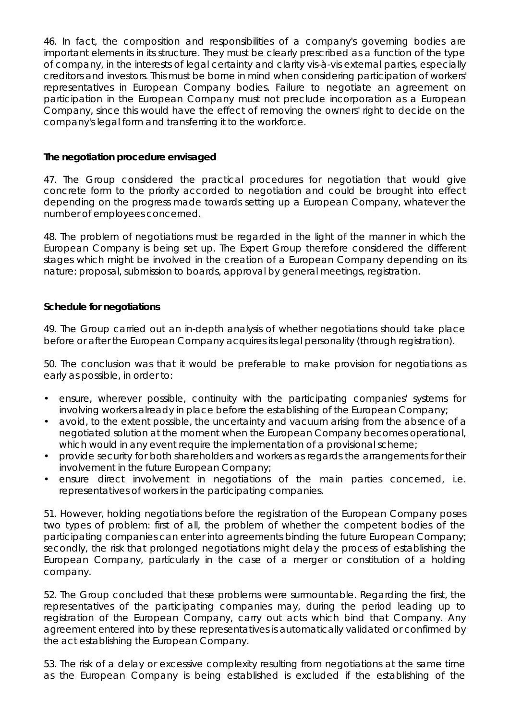46. In fact, the composition and responsibilities of a company's governing bodies are important elements in its structure. They must be clearly prescribed as a function of the type of company, in the interests of legal certainty and clarity vis-à-vis external parties, especially creditors and investors. This must be borne in mind when considering participation of workers' representatives in European Company bodies. Failure to negotiate an agreement on participation in the European Company must not preclude incorporation as a European Company, since this would have the effect of removing the owners' right to decide on the company's legal form and transferring it to the workforce.

# *The negotiation procedure envisaged*

47. The Group considered the practical procedures for negotiation that would give concrete form to the priority accorded to negotiation and could be brought into effect depending on the progress made towards setting up a European Company, whatever the number of employees concerned.

48. The problem of negotiations must be regarded in the light of the manner in which the European Company is being set up. The Expert Group therefore considered the different stages which might be involved in the creation of a European Company depending on its nature: proposal, submission to boards, approval by general meetings, registration.

#### *Schedule for negotiations*

49. The Group carried out an in-depth analysis of whether negotiations should take place before or after the European Company acquires its legal personality (through registration).

50. The conclusion was that it would be preferable to make provision for negotiations as early as possible, in order to:

- ensure, wherever possible, continuity with the participating companies' systems for involving workers already in place before the establishing of the European Company;
- avoid, to the extent possible, the uncertainty and vacuum arising from the absence of a negotiated solution at the moment when the European Company becomes operational, which would in any event require the implementation of a provisional scheme;
- provide security for both shareholders and workers as regards the arrangements for their involvement in the future European Company;
- ensure direct involvement in negotiations of the main parties concerned, i.e. representatives of workers in the participating companies.

51. However, holding negotiations before the registration of the European Company poses two types of problem: first of all, the problem of whether the competent bodies of the participating companies can enter into agreements binding the future European Company; secondly, the risk that prolonged negotiations might delay the process of establishing the European Company, particularly in the case of a merger or constitution of a holding company.

52. The Group concluded that these problems were surmountable. Regarding the first, the representatives of the participating companies may, during the period leading up to registration of the European Company, carry out acts which bind that Company. Any agreement entered into by these representatives is automatically validated or confirmed by the act establishing the European Company.

53. The risk of a delay or excessive complexity resulting from negotiations at the same time as the European Company is being established is excluded if the establishing of the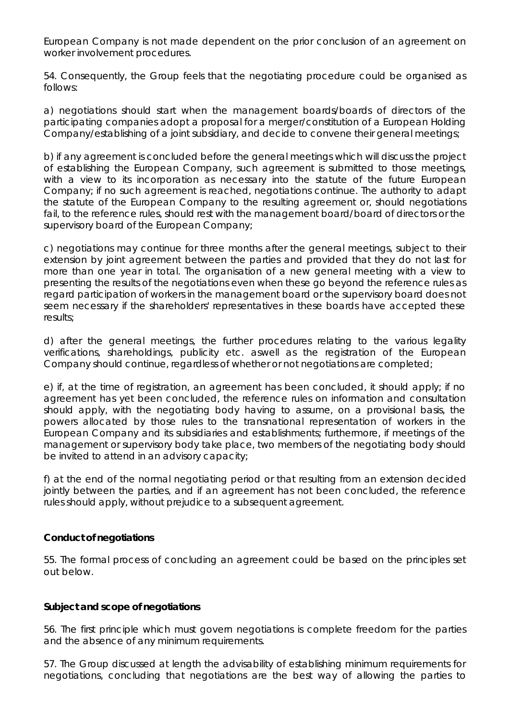European Company is not made dependent on the prior conclusion of an agreement on worker involvement procedures.

54. Consequently, the Group feels that the negotiating procedure could be organised as follows:

a) negotiations should start when the management boards/boards of directors of the participating companies adopt a proposal for a merger/constitution of a European Holding Company/establishing of a joint subsidiary, and decide to convene their general meetings;

b) if any agreement is concluded before the general meetings which will discuss the project of establishing the European Company, such agreement is submitted to those meetings, with a view to its incorporation as necessary into the statute of the future European Company; if no such agreement is reached, negotiations continue. The authority to adapt the statute of the European Company to the resulting agreement or, should negotiations fail, to the reference rules, should rest with the management board/board of directors or the supervisory board of the European Company;

c) negotiations may continue for three months after the general meetings, subject to their extension by joint agreement between the parties and provided that they do not last for more than one year in total. The organisation of a new general meeting with a view to presenting the results of the negotiations even when these go beyond the reference rules as regard participation of workers in the management board or the supervisory board does not seem necessary if the shareholders' representatives in these boards have accepted these results;

d) after the general meetings, the further procedures relating to the various legality verifications, shareholdings, publicity etc. aswell as the registration of the European Company should continue, regardless of whether or not negotiations are completed;

e) if, at the time of registration, an agreement has been concluded, it should apply; if no agreement has yet been concluded, the reference rules on information and consultation should apply, with the negotiating body having to assume, on a provisional basis, the powers allocated by those rules to the transnational representation of workers in the European Company and its subsidiaries and establishments; furthermore, if meetings of the management or supervisory body take place, two members of the negotiating body should be invited to attend in an advisory capacity;

f) at the end of the normal negotiating period or that resulting from an extension decided jointly between the parties, and if an agreement has not been concluded, the reference rules should apply, without prejudice to a subsequent agreement.

# *Conduct of negotiations*

55. The formal process of concluding an agreement could be based on the principles set out below.

#### *Subject and scope of negotiations*

56. The first principle which must govern negotiations is complete freedom for the parties and the absence of any minimum requirements.

57. The Group discussed at length the advisability of establishing minimum requirements for negotiations, concluding that negotiations are the best way of allowing the parties to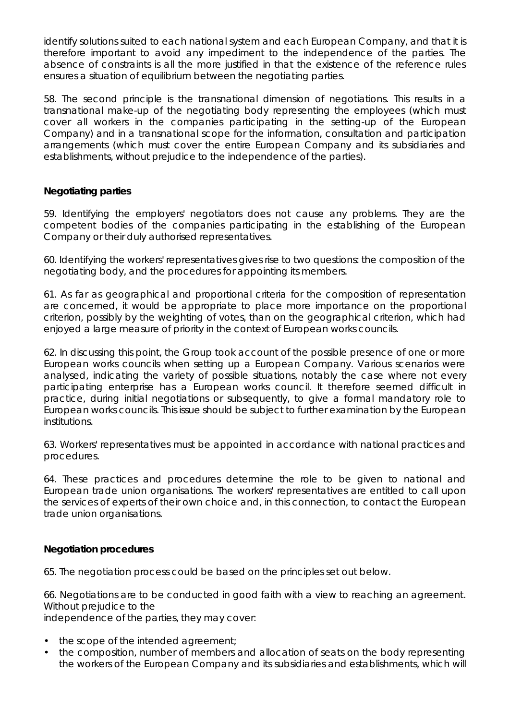identify solutions suited to each national system and each European Company, and that it is therefore important to avoid any impediment to the independence of the parties. The absence of constraints is all the more justified in that the existence of the reference rules ensures a situation of equilibrium between the negotiating parties.

58. The second principle is the transnational dimension of negotiations. This results in a transnational make-up of the negotiating body representing the employees (which must cover all workers in the companies participating in the setting-up of the European Company) and in a transnational scope for the information, consultation and participation arrangements (which must cover the entire European Company and its subsidiaries and establishments, without prejudice to the independence of the parties).

# *Negotiating parties*

59. Identifying the employers' negotiators does not cause any problems. They are the competent bodies of the companies participating in the establishing of the European Company or their duly authorised representatives.

60. Identifying the workers' representatives gives rise to two questions: the composition of the negotiating body, and the procedures for appointing its members.

61. As far as geographical and proportional criteria for the composition of representation are concerned, it would be appropriate to place more importance on the proportional criterion, possibly by the weighting of votes, than on the geographical criterion, which had enjoyed a large measure of priority in the context of European works councils.

62. In discussing this point, the Group took account of the possible presence of one or more European works councils when setting up a European Company. Various scenarios were analysed, indicating the variety of possible situations, notably the case where not every participating enterprise has a European works council. It therefore seemed difficult in practice, during initial negotiations or subsequently, to give a formal mandatory role to European works councils. This issue should be subject to further examination by the European institutions.

63. Workers' representatives must be appointed in accordance with national practices and procedures.

64. These practices and procedures determine the role to be given to national and European trade union organisations. The workers' representatives are entitled to call upon the services of experts of their own choice and, in this connection, to contact the European trade union organisations.

# *Negotiation procedures*

65. The negotiation process could be based on the principles set out below.

66. Negotiations are to be conducted in good faith with a view to reaching an agreement. Without prejudice to the

independence of the parties, they may cover:

- the scope of the intended agreement;
- the composition, number of members and allocation of seats on the body representing the workers of the European Company and its subsidiaries and establishments, which will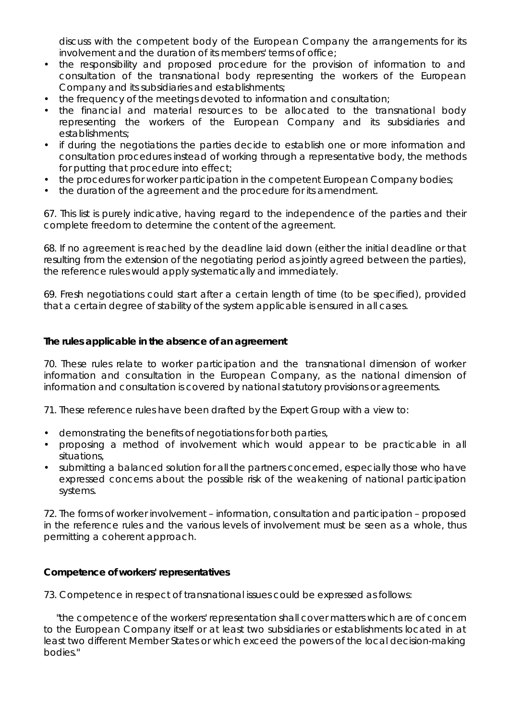discuss with the competent body of the European Company the arrangements for its involvement and the duration of its members' terms of office;

- the responsibility and proposed procedure for the provision of information to and consultation of the transnational body representing the workers of the European Company and its subsidiaries and establishments;
- the frequency of the meetings devoted to information and consultation;
- the financial and material resources to be allocated to the transnational body representing the workers of the European Company and its subsidiaries and establishments;
- if during the negotiations the parties decide to establish one or more information and consultation procedures instead of working through a representative body, the methods for putting that procedure into effect;
- the procedures for worker participation in the competent European Company bodies;
- the duration of the agreement and the procedure for its amendment.

67. This list is purely indicative, having regard to the independence of the parties and their complete freedom to determine the content of the agreement.

68. If no agreement is reached by the deadline laid down (either the initial deadline or that resulting from the extension of the negotiating period as jointly agreed between the parties), the reference rules would apply systematically and immediately.

69. Fresh negotiations could start after a certain length of time (to be specified), provided that a certain degree of stability of the system applicable is ensured in all cases.

#### *The rules applicable in the absence of an agreement*

70. These rules relate to worker participation and the transnational dimension of worker information and consultation in the European Company, as the national dimension of information and consultation is covered by national statutory provisions or agreements.

71. These reference rules have been drafted by the Expert Group with a view to:

- demonstrating the benefits of negotiations for both parties,
- proposing a method of involvement which would appear to be practicable in all situations,
- submitting a balanced solution for all the partners concerned, especially those who have expressed concerns about the possible risk of the weakening of national participation systems.

72. The forms of worker involvement – information, consultation and participation – proposed in the reference rules and the various levels of involvement must be seen as a whole, thus permitting a coherent approach.

#### *Competence of workers' representatives*

73. Competence in respect of transnational issues could be expressed as follows:

 "the competence of the workers' representation shall cover matters which are of concern to the European Company itself or at least two subsidiaries or establishments located in at least two different Member States or which exceed the powers of the local decision-making bodies."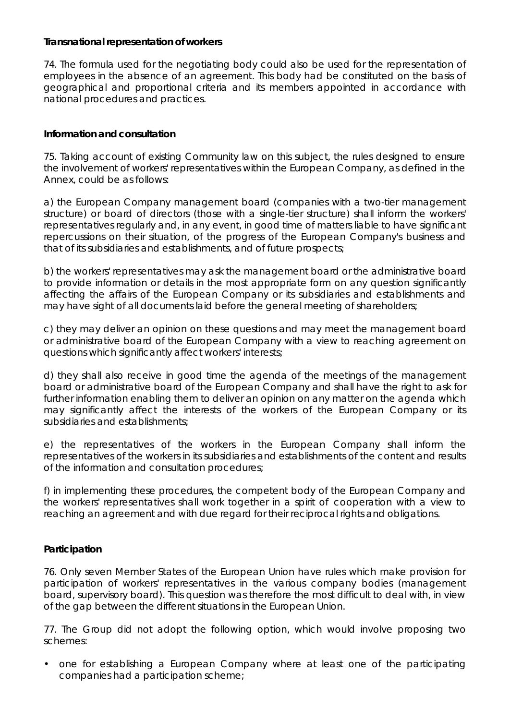## *Transnational representation of workers*

74. The formula used for the negotiating body could also be used for the representation of employees in the absence of an agreement. This body had be constituted on the basis of geographical and proportional criteria and its members appointed in accordance with national procedures and practices.

# *Information and consultation*

75. Taking account of existing Community law on this subject, the rules designed to ensure the involvement of workers' representatives within the European Company, as defined in the Annex, could be as follows:

a) the European Company management board (companies with a two-tier management structure) or board of directors (those with a single-tier structure) shall inform the workers' representatives regularly and, in any event, in good time of matters liable to have significant repercussions on their situation, of the progress of the European Company's business and that of its subsidiaries and establishments, and of future prospects;

b) the workers' representatives may ask the management board or the administrative board to provide information or details in the most appropriate form on any question significantly affecting the affairs of the European Company or its subsidiaries and establishments and may have sight of all documents laid before the general meeting of shareholders;

c) they may deliver an opinion on these questions and may meet the management board or administrative board of the European Company with a view to reaching agreement on questions which significantly affect workers' interests;

d) they shall also receive in good time the agenda of the meetings of the management board or administrative board of the European Company and shall have the right to ask for further information enabling them to deliver an opinion on any matter on the agenda which may significantly affect the interests of the workers of the European Company or its subsidiaries and establishments;

e) the representatives of the workers in the European Company shall inform the representatives of the workers in its subsidiaries and establishments of the content and results of the information and consultation procedures;

f) in implementing these procedures, the competent body of the European Company and the workers' representatives shall work together in a spirit of cooperation with a view to reaching an agreement and with due regard for their reciprocal rights and obligations.

# *Participation*

76. Only seven Member States of the European Union have rules which make provision for participation of workers' representatives in the various company bodies (management board, supervisory board). This question was therefore the most difficult to deal with, in view of the gap between the different situations in the European Union.

77. The Group did not adopt the following option, which would involve proposing two schemes:

• one for establishing a European Company where at least one of the participating companies had a participation scheme;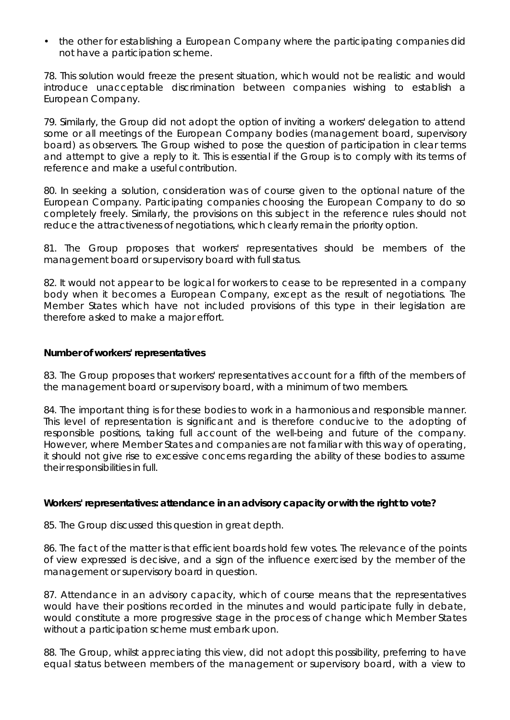• the other for establishing a European Company where the participating companies did not have a participation scheme.

78. This solution would freeze the present situation, which would not be realistic and would introduce unacceptable discrimination between companies wishing to establish a European Company.

79. Similarly, the Group did not adopt the option of inviting a workers' delegation to attend some or all meetings of the European Company bodies (management board, supervisory board) as observers. The Group wished to pose the question of participation in clear terms and attempt to give a reply to it. This is essential if the Group is to comply with its terms of reference and make a useful contribution.

80. In seeking a solution, consideration was of course given to the optional nature of the European Company. Participating companies choosing the European Company to do so completely freely. Similarly, the provisions on this subject in the reference rules should not reduce the attractiveness of negotiations, which clearly remain the priority option.

81. The Group proposes that workers' representatives should be members of the management board or supervisory board with full status.

82. It would not appear to be logical for workers to cease to be represented in a company body when it becomes a European Company, except as the result of negotiations. The Member States which have not included provisions of this type in their legislation are therefore asked to make a major effort.

#### *Number of workers' representatives*

83. The Group proposes that workers' representatives account for a fifth of the members of the management board or supervisory board, with a minimum of two members.

84. The important thing is for these bodies to work in a harmonious and responsible manner. This level of representation is significant and is therefore conducive to the adopting of responsible positions, taking full account of the well-being and future of the company. However, where Member States and companies are not familiar with this way of operating, it should not give rise to excessive concerns regarding the ability of these bodies to assume their responsibilities in full.

#### *Workers' representatives: attendance in an advisory capacity or with the right to vote?*

85. The Group discussed this question in great depth.

86. The fact of the matter is that efficient boards hold few votes. The relevance of the points of view expressed is decisive, and a sign of the influence exercised by the member of the management or supervisory board in question.

87. Attendance in an advisory capacity, which of course means that the representatives would have their positions recorded in the minutes and would participate fully in debate, would constitute a more progressive stage in the process of change which Member States without a participation scheme must embark upon.

88. The Group, whilst appreciating this view, did not adopt this possibility, preferring to have equal status between members of the management or supervisory board, with a view to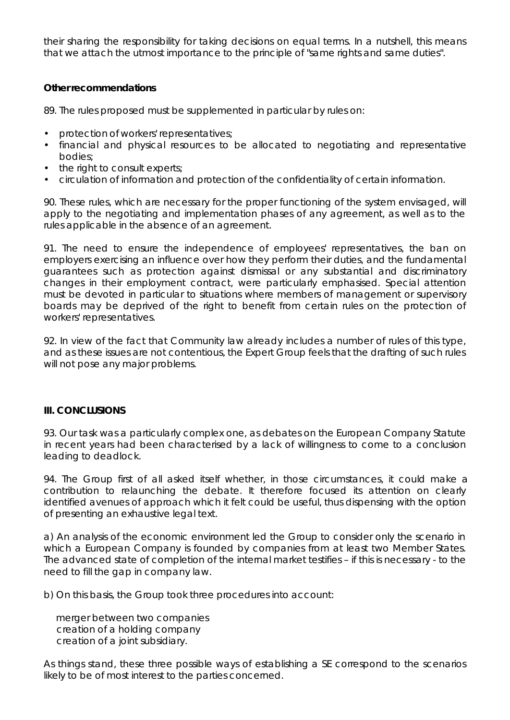their sharing the responsibility for taking decisions on equal terms. In a nutshell, this means that we attach the utmost importance to the principle of "same rights and same duties".

#### *Other recommendations*

89. The rules proposed must be supplemented in particular by rules on:

- protection of workers' representatives;
- financial and physical resources to be allocated to negotiating and representative bodies;
- the right to consult experts;
- circulation of information and protection of the confidentiality of certain information.

90. These rules, which are necessary for the proper functioning of the system envisaged, will apply to the negotiating and implementation phases of any agreement, as well as to the rules applicable in the absence of an agreement.

91. The need to ensure the independence of employees' representatives, the ban on employers exercising an influence over how they perform their duties, and the fundamental guarantees such as protection against dismissal or any substantial and discriminatory changes in their employment contract, were particularly emphasised. Special attention must be devoted in particular to situations where members of management or supervisory boards may be deprived of the right to benefit from certain rules on the protection of workers' representatives.

92. In view of the fact that Community law already includes a number of rules of this type, and as these issues are not contentious, the Expert Group feels that the drafting of such rules will not pose any major problems.

#### **III. CONCLUSIONS**

93. Our task was a particularly complex one, as debates on the European Company Statute in recent years had been characterised by a lack of willingness to come to a conclusion leading to deadlock.

94. The Group first of all asked itself whether, in those circumstances, it could make a contribution to relaunching the debate. It therefore focused its attention on clearly identified avenues of approach which it felt could be useful, thus dispensing with the option of presenting an exhaustive legal text.

a) An analysis of the economic environment led the Group to consider only the scenario in which a European Company is founded by companies from at least two Member States. The advanced state of completion of the internal market testifies – if this is necessary - to the need to fill the gap in company law.

b) On this basis, the Group took three procedures into account:

 merger between two companies creation of a holding company creation of a joint subsidiary.

As things stand, these three possible ways of establishing a SE correspond to the scenarios likely to be of most interest to the parties concerned.